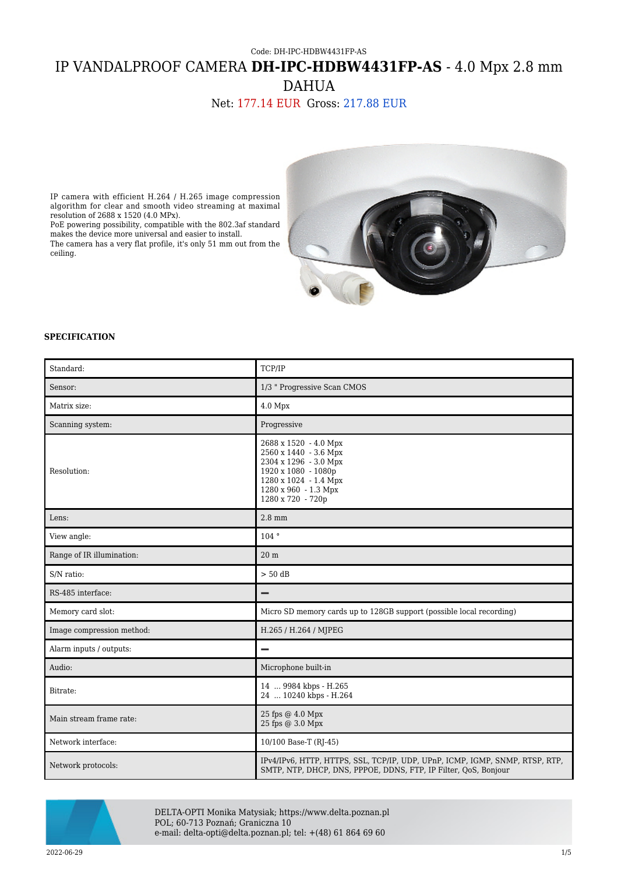# Code: DH-IPC-HDBW4431FP-AS IP VANDALPROOF CAMERA **DH-IPC-HDBW4431FP-AS** - 4.0 Mpx 2.8 mm DAHUA

## Net: 177.14 EUR Gross: 217.88 EUR

IP camera with efficient H.264 / H.265 image compression algorithm for clear and smooth video streaming at maximal resolution of 2688 x 1520 (4.0 MPx).

PoE powering possibility, compatible with the 802.3af standard makes the device more universal and easier to install. The camera has a very flat profile, it's only 51 mm out from the ceiling.



#### **SPECIFICATION**

| Standard:                 | TCP/IP                                                                                                                                                               |
|---------------------------|----------------------------------------------------------------------------------------------------------------------------------------------------------------------|
| Sensor:                   | 1/3 " Progressive Scan CMOS                                                                                                                                          |
| Matrix size:              | 4.0 Mpx                                                                                                                                                              |
| Scanning system:          | Progressive                                                                                                                                                          |
| Resolution:               | 2688 x 1520 - 4.0 Mpx<br>2560 x 1440 - 3.6 Mpx<br>2304 x 1296 - 3.0 Mpx<br>1920 x 1080 - 1080p<br>1280 x 1024 - 1.4 Mpx<br>1280 x 960 - 1.3 Mpx<br>1280 x 720 - 720p |
| Lens:                     | $2.8$ mm                                                                                                                                                             |
| View angle:               | 104°                                                                                                                                                                 |
| Range of IR illumination: | 20 <sub>m</sub>                                                                                                                                                      |
| S/N ratio:                | $> 50$ dB                                                                                                                                                            |
| RS-485 interface:         | $\overline{\phantom{0}}$                                                                                                                                             |
| Memory card slot:         | Micro SD memory cards up to 128GB support (possible local recording)                                                                                                 |
| Image compression method: | H.265 / H.264 / MJPEG                                                                                                                                                |
| Alarm inputs / outputs:   | -                                                                                                                                                                    |
| Audio:                    | Microphone built-in                                                                                                                                                  |
| Bitrate:                  | 14  9984 kbps - H.265<br>24  10240 kbps - H.264                                                                                                                      |
| Main stream frame rate:   | 25 fps @ 4.0 Mpx<br>25 fps @ 3.0 Mpx                                                                                                                                 |
| Network interface:        | 10/100 Base-T (RJ-45)                                                                                                                                                |
| Network protocols:        | IPv4/IPv6, HTTP, HTTPS, SSL, TCP/IP, UDP, UPnP, ICMP, IGMP, SNMP, RTSP, RTP,<br>SMTP, NTP, DHCP, DNS, PPPOE, DDNS, FTP, IP Filter, QoS, Bonjour                      |



DELTA-OPTI Monika Matysiak; https://www.delta.poznan.pl POL; 60-713 Poznań; Graniczna 10 e-mail: delta-opti@delta.poznan.pl; tel: +(48) 61 864 69 60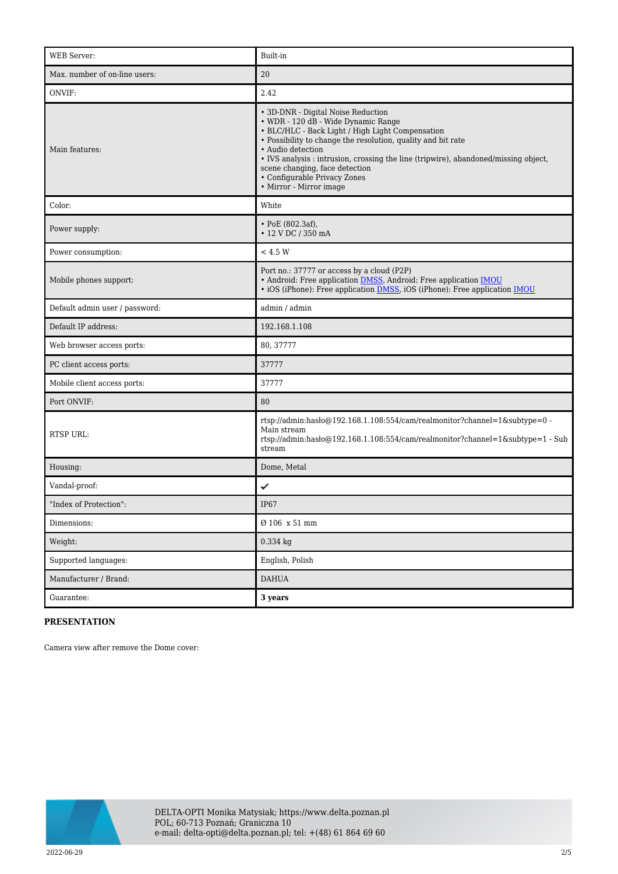| <b>WEB</b> Server:             | Built-in                                                                                                                                                                                                                                                                                                                                                                                               |
|--------------------------------|--------------------------------------------------------------------------------------------------------------------------------------------------------------------------------------------------------------------------------------------------------------------------------------------------------------------------------------------------------------------------------------------------------|
| Max. number of on-line users:  | 20                                                                                                                                                                                                                                                                                                                                                                                                     |
| ONVIF:                         | 2.42                                                                                                                                                                                                                                                                                                                                                                                                   |
| Main features:                 | • 3D-DNR - Digital Noise Reduction<br>• WDR - 120 dB - Wide Dynamic Range<br>• BLC/HLC - Back Light / High Light Compensation<br>• Possibility to change the resolution, quality and bit rate<br>· Audio detection<br>• IVS analysis : intrusion, crossing the line (tripwire), abandoned/missing object,<br>scene changing, face detection<br>• Configurable Privacy Zones<br>• Mirror - Mirror image |
| Color:                         | White                                                                                                                                                                                                                                                                                                                                                                                                  |
| Power supply:                  | $\cdot$ PoE (802.3af),<br>• 12 V DC / 350 mA                                                                                                                                                                                                                                                                                                                                                           |
| Power consumption:             | < 4.5 W                                                                                                                                                                                                                                                                                                                                                                                                |
| Mobile phones support:         | Port no.: 37777 or access by a cloud (P2P)<br>• Android: Free application <b>DMSS</b> , Android: Free application <b>IMOU</b><br>• iOS (iPhone): Free application <b>DMSS</b> , iOS (iPhone): Free application <b>IMOU</b>                                                                                                                                                                             |
| Default admin user / password: | admin / admin                                                                                                                                                                                                                                                                                                                                                                                          |
| Default IP address:            | 192.168.1.108                                                                                                                                                                                                                                                                                                                                                                                          |
| Web browser access ports:      | 80, 37777                                                                                                                                                                                                                                                                                                                                                                                              |
| PC client access ports:        | 37777                                                                                                                                                                                                                                                                                                                                                                                                  |
| Mobile client access ports:    | 37777                                                                                                                                                                                                                                                                                                                                                                                                  |
| Port ONVIF:                    | 80                                                                                                                                                                                                                                                                                                                                                                                                     |
| <b>RTSP URL:</b>               | rtsp://admin:hasło@192.168.1.108:554/cam/realmonitor?channel=1&subtype=0 -<br>Main stream<br>rtsp://admin:hasło@192.168.1.108:554/cam/realmonitor?channel=1&subtype=1 - Sub<br>stream                                                                                                                                                                                                                  |
| Housing:                       | Dome, Metal                                                                                                                                                                                                                                                                                                                                                                                            |
| Vandal-proof:                  | ✓                                                                                                                                                                                                                                                                                                                                                                                                      |
| "Index of Protection":         | IP <sub>67</sub>                                                                                                                                                                                                                                                                                                                                                                                       |
| Dimensions:                    | $\emptyset$ 106 x 51 mm                                                                                                                                                                                                                                                                                                                                                                                |
| Weight:                        | 0.334 kg                                                                                                                                                                                                                                                                                                                                                                                               |
| Supported languages:           | English, Polish                                                                                                                                                                                                                                                                                                                                                                                        |
| Manufacturer / Brand:          | <b>DAHUA</b>                                                                                                                                                                                                                                                                                                                                                                                           |
| Guarantee:                     | 3 years                                                                                                                                                                                                                                                                                                                                                                                                |

### **PRESENTATION**

Camera view after remove the Dome cover:

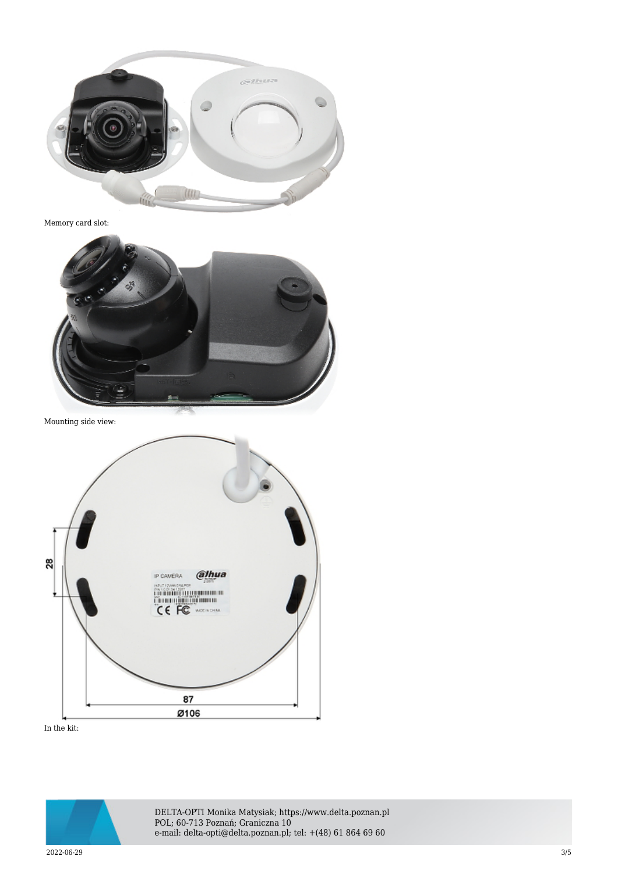

Memory card slot:



Mounting side view:



In the kit:



DELTA-OPTI Monika Matysiak; https://www.delta.poznan.pl POL; 60-713 Poznań; Graniczna 10 e-mail: delta-opti@delta.poznan.pl; tel: +(48) 61 864 69 60

2022-06-29 3/5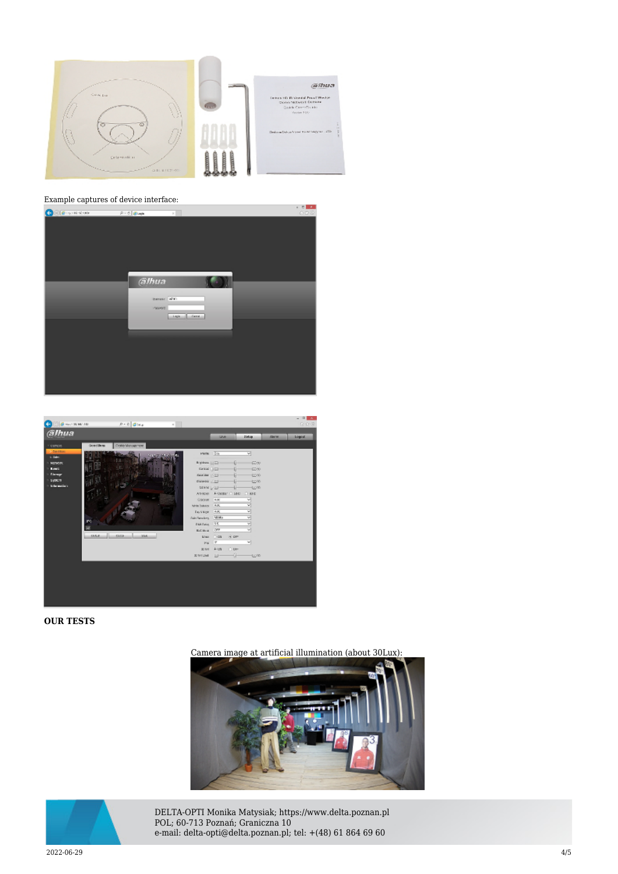

### Example captures of device interface:





#### **OUR TESTS**

Camera image at artificial illumination (about 30Lux):





DELTA-OPTI Monika Matysiak; https://www.delta.poznan.pl POL; 60-713 Poznań; Graniczna 10 e-mail: delta-opti@delta.poznan.pl; tel: +(48) 61 864 69 60

2022-06-29 4/5